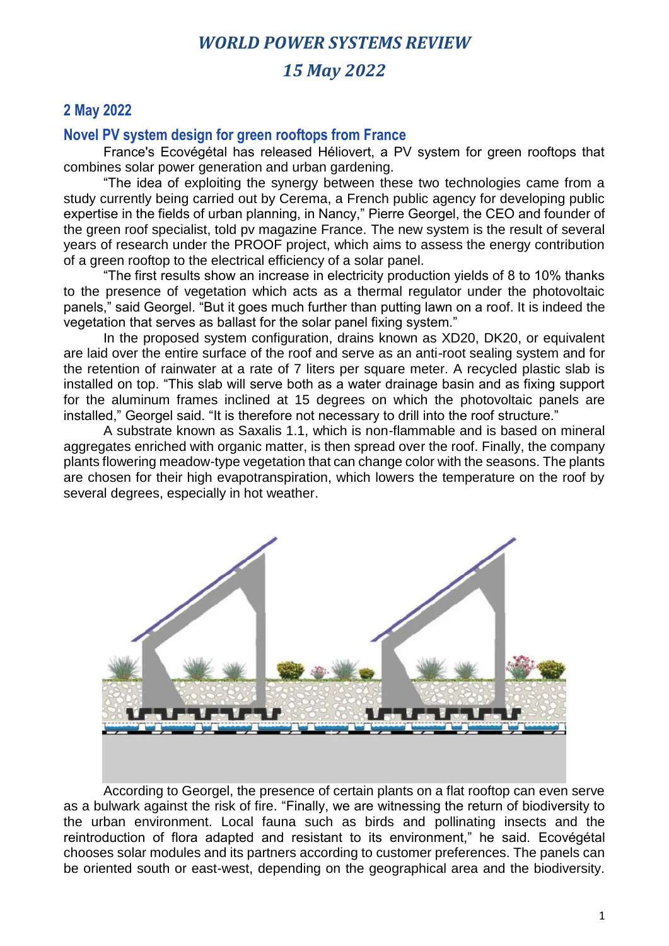# *15 May 2022*

## **2 May 2022**

### **Novel PV system design for green rooftops from France**

France's Ecovégétal has released Héliovert, a PV system for green rooftops that combines solar power generation and urban gardening.

"The idea of exploiting the synergy between these two technologies came from a study currently being carried out by Cerema, a French public agency for developing public expertise in the fields of urban planning, in Nancy," Pierre Georgel, the CEO and founder of the green roof specialist, told pv magazine France. The new system is the result of several years of research under the PROOF project, which aims to assess the energy contribution of a green rooftop to the electrical efficiency of a solar panel.

"The first results show an increase in electricity production yields of 8 to 10% thanks to the presence of vegetation which acts as a thermal regulator under the photovoltaic panels," said Georgel. "But it goes much further than putting lawn on a roof. It is indeed the vegetation that serves as ballast for the solar panel fixing system."

In the proposed system configuration, drains known as XD20, DK20, or equivalent are laid over the entire surface of the roof and serve as an anti-root sealing system and for the retention of rainwater at a rate of 7 liters per square meter. A recycled plastic slab is installed on top. "This slab will serve both as a water drainage basin and as fixing support for the aluminum frames inclined at 15 degrees on which the photovoltaic panels are installed," Georgel said. "It is therefore not necessary to drill into the roof structure."

A substrate known as Saxalis 1.1, which is non-flammable and is based on mineral aggregates enriched with organic matter, is then spread over the roof. Finally, the company plants flowering meadow-type vegetation that can change color with the seasons. The plants are chosen for their high evapotranspiration, which lowers the temperature on the roof by several degrees, especially in hot weather.



According to Georgel, the presence of certain plants on a flat rooftop can even serve as a bulwark against the risk of fire. "Finally, we are witnessing the return of biodiversity to the urban environment. Local fauna such as birds and pollinating insects and the reintroduction of flora adapted and resistant to its environment," he said. Ecovégétal chooses solar modules and its partners according to customer preferences. The panels can be oriented south or east-west, depending on the geographical area and the biodiversity.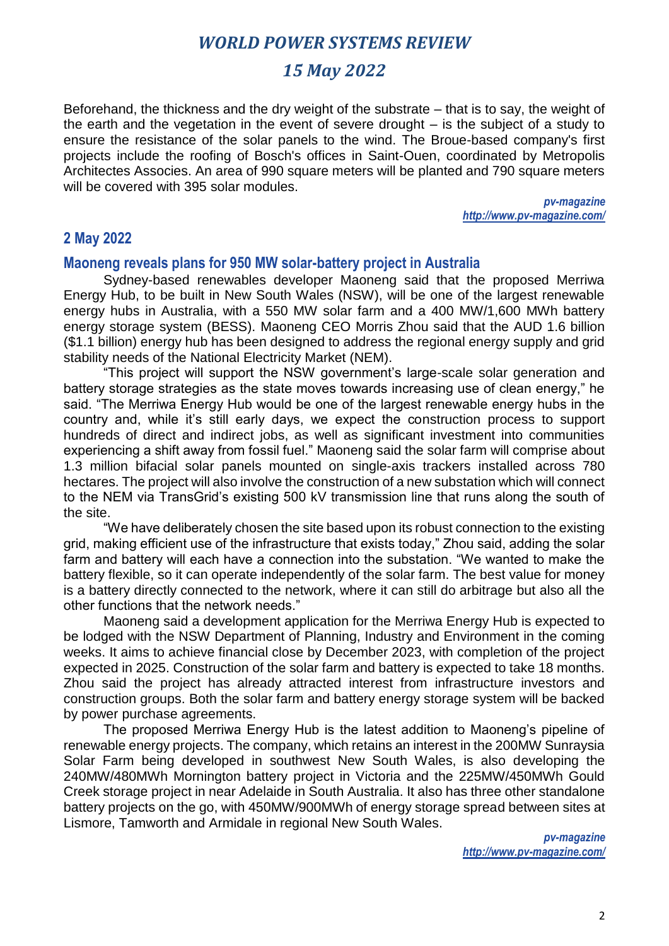# *15 May 2022*

Beforehand, the thickness and the dry weight of the substrate – that is to say, the weight of the earth and the vegetation in the event of severe drought – is the subject of a study to ensure the resistance of the solar panels to the wind. The Broue-based company's first projects include the roofing of Bosch's offices in Saint-Ouen, coordinated by Metropolis Architectes Associes. An area of 990 square meters will be planted and 790 square meters will be covered with 395 solar modules.

> *pv-magazine http://www.pv-magazine.com/*

### **2 May 2022**

#### **Maoneng reveals plans for 950 MW solar-battery project in Australia**

Sydney-based renewables developer Maoneng said that the proposed Merriwa Energy Hub, to be built in New South Wales (NSW), will be one of the largest renewable energy hubs in Australia, with a 550 MW solar farm and a 400 MW/1,600 MWh battery energy storage system (BESS). Maoneng CEO Morris Zhou said that the AUD 1.6 billion (\$1.1 billion) energy hub has been designed to address the regional energy supply and grid stability needs of the National Electricity Market (NEM).

"This project will support the NSW government's large-scale solar generation and battery storage strategies as the state moves towards increasing use of clean energy," he said. "The Merriwa Energy Hub would be one of the largest renewable energy hubs in the country and, while it's still early days, we expect the construction process to support hundreds of direct and indirect jobs, as well as significant investment into communities experiencing a shift away from fossil fuel." Maoneng said the solar farm will comprise about 1.3 million bifacial solar panels mounted on single-axis trackers installed across 780 hectares. The project will also involve the construction of a new substation which will connect to the NEM via TransGrid's existing 500 kV transmission line that runs along the south of the site.

"We have deliberately chosen the site based upon its robust connection to the existing grid, making efficient use of the infrastructure that exists today," Zhou said, adding the solar farm and battery will each have a connection into the substation. "We wanted to make the battery flexible, so it can operate independently of the solar farm. The best value for money is a battery directly connected to the network, where it can still do arbitrage but also all the other functions that the network needs."

Maoneng said a development application for the Merriwa Energy Hub is expected to be lodged with the NSW Department of Planning, Industry and Environment in the coming weeks. It aims to achieve financial close by December 2023, with completion of the project expected in 2025. Construction of the solar farm and battery is expected to take 18 months. Zhou said the project has already attracted interest from infrastructure investors and construction groups. Both the solar farm and battery energy storage system will be backed by power purchase agreements.

The proposed Merriwa Energy Hub is the latest addition to Maoneng's pipeline of renewable energy projects. The company, which retains an interest in the 200MW Sunraysia Solar Farm being developed in southwest New South Wales, is also developing the 240MW/480MWh Mornington battery project in Victoria and the 225MW/450MWh Gould Creek storage project in near Adelaide in South Australia. It also has three other standalone battery projects on the go, with 450MW/900MWh of energy storage spread between sites at Lismore, Tamworth and Armidale in regional New South Wales.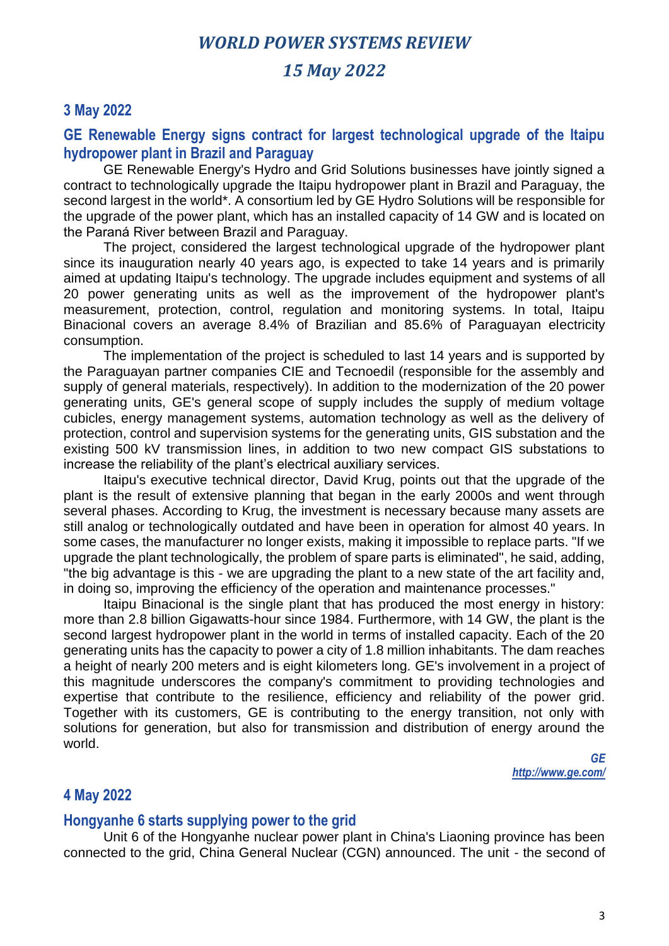## *15 May 2022*

## **3 May 2022**

### **GE Renewable Energy signs contract for largest technological upgrade of the Itaipu hydropower plant in Brazil and Paraguay**

GE Renewable Energy's Hydro and Grid Solutions businesses have jointly signed a contract to technologically upgrade the Itaipu hydropower plant in Brazil and Paraguay, the second largest in the world\*. A consortium led by GE Hydro Solutions will be responsible for the upgrade of the power plant, which has an installed capacity of 14 GW and is located on the Paraná River between Brazil and Paraguay.

The project, considered the largest technological upgrade of the hydropower plant since its inauguration nearly 40 years ago, is expected to take 14 years and is primarily aimed at updating Itaipu's technology. The upgrade includes equipment and systems of all 20 power generating units as well as the improvement of the hydropower plant's measurement, protection, control, regulation and monitoring systems. In total, Itaipu Binacional covers an average 8.4% of Brazilian and 85.6% of Paraguayan electricity consumption.

The implementation of the project is scheduled to last 14 years and is supported by the Paraguayan partner companies CIE and Tecnoedil (responsible for the assembly and supply of general materials, respectively). In addition to the modernization of the 20 power generating units, GE's general scope of supply includes the supply of medium voltage cubicles, energy management systems, automation technology as well as the delivery of protection, control and supervision systems for the generating units, GIS substation and the existing 500 kV transmission lines, in addition to two new compact GIS substations to increase the reliability of the plant's electrical auxiliary services.

Itaipu's executive technical director, David Krug, points out that the upgrade of the plant is the result of extensive planning that began in the early 2000s and went through several phases. According to Krug, the investment is necessary because many assets are still analog or technologically outdated and have been in operation for almost 40 years. In some cases, the manufacturer no longer exists, making it impossible to replace parts. "If we upgrade the plant technologically, the problem of spare parts is eliminated", he said, adding, "the big advantage is this - we are upgrading the plant to a new state of the art facility and, in doing so, improving the efficiency of the operation and maintenance processes."

Itaipu Binacional is the single plant that has produced the most energy in history: more than 2.8 billion Gigawatts-hour since 1984. Furthermore, with 14 GW, the plant is the second largest hydropower plant in the world in terms of installed capacity. Each of the 20 generating units has the capacity to power a city of 1.8 million inhabitants. The dam reaches a height of nearly 200 meters and is eight kilometers long. GE's involvement in a project of this magnitude underscores the company's commitment to providing technologies and expertise that contribute to the resilience, efficiency and reliability of the power grid. Together with its customers, GE is contributing to the energy transition, not only with solutions for generation, but also for transmission and distribution of energy around the world.

*GE http://www.ge.com/*

### **4 May 2022**

#### **Hongyanhe 6 starts supplying power to the grid**

Unit 6 of the Hongyanhe nuclear power plant in China's Liaoning province has been connected to the grid, China General Nuclear (CGN) announced. The unit - the second of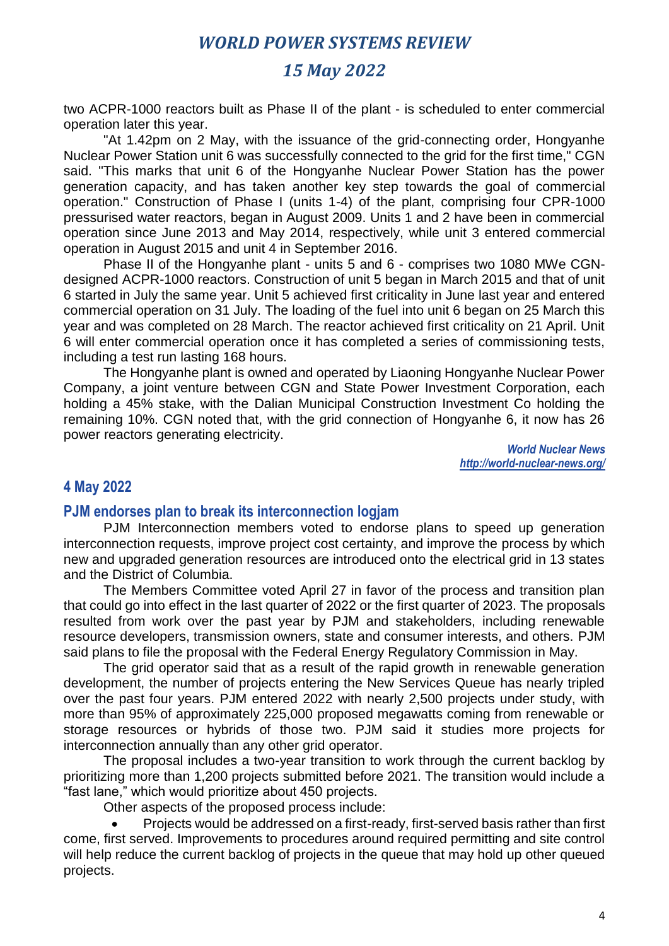# *15 May 2022*

two ACPR-1000 reactors built as Phase II of the plant - is scheduled to enter commercial operation later this year.

"At 1.42pm on 2 May, with the issuance of the grid-connecting order, Hongyanhe Nuclear Power Station unit 6 was successfully connected to the grid for the first time," CGN said. "This marks that unit 6 of the Hongyanhe Nuclear Power Station has the power generation capacity, and has taken another key step towards the goal of commercial operation." Construction of Phase I (units 1-4) of the plant, comprising four CPR-1000 pressurised water reactors, began in August 2009. Units 1 and 2 have been in commercial operation since June 2013 and May 2014, respectively, while unit 3 entered commercial operation in August 2015 and unit 4 in September 2016.

Phase II of the Hongyanhe plant - units 5 and 6 - comprises two 1080 MWe CGNdesigned ACPR-1000 reactors. Construction of unit 5 began in March 2015 and that of unit 6 started in July the same year. Unit 5 achieved first criticality in June last year and entered commercial operation on 31 July. The loading of the fuel into unit 6 began on 25 March this year and was completed on 28 March. The reactor achieved first criticality on 21 April. Unit 6 will enter commercial operation once it has completed a series of commissioning tests, including a test run lasting 168 hours.

The Hongyanhe plant is owned and operated by Liaoning Hongyanhe Nuclear Power Company, a joint venture between CGN and State Power Investment Corporation, each holding a 45% stake, with the Dalian Municipal Construction Investment Co holding the remaining 10%. CGN noted that, with the grid connection of Hongyanhe 6, it now has 26 power reactors generating electricity.

> *World Nuclear News http://world-nuclear-news.org/*

### **4 May 2022**

#### **PJM endorses plan to break its interconnection logjam**

PJM Interconnection members voted to endorse plans to speed up generation interconnection requests, improve project cost certainty, and improve the process by which new and upgraded generation resources are introduced onto the electrical grid in 13 states and the District of Columbia.

The Members Committee voted April 27 in favor of the process and transition plan that could go into effect in the last quarter of 2022 or the first quarter of 2023. The proposals resulted from work over the past year by PJM and stakeholders, including renewable resource developers, transmission owners, state and consumer interests, and others. PJM said plans to file the proposal with the Federal Energy Regulatory Commission in May.

The grid operator said that as a result of the rapid growth in renewable generation development, the number of projects entering the New Services Queue has nearly tripled over the past four years. PJM entered 2022 with nearly 2,500 projects under study, with more than 95% of approximately 225,000 proposed megawatts coming from renewable or storage resources or hybrids of those two. PJM said it studies more projects for interconnection annually than any other grid operator.

The proposal includes a two-year transition to work through the current backlog by prioritizing more than 1,200 projects submitted before 2021. The transition would include a "fast lane," which would prioritize about 450 projects.

Other aspects of the proposed process include:

• Projects would be addressed on a first-ready, first-served basis rather than first come, first served. Improvements to procedures around required permitting and site control will help reduce the current backlog of projects in the queue that may hold up other queued projects.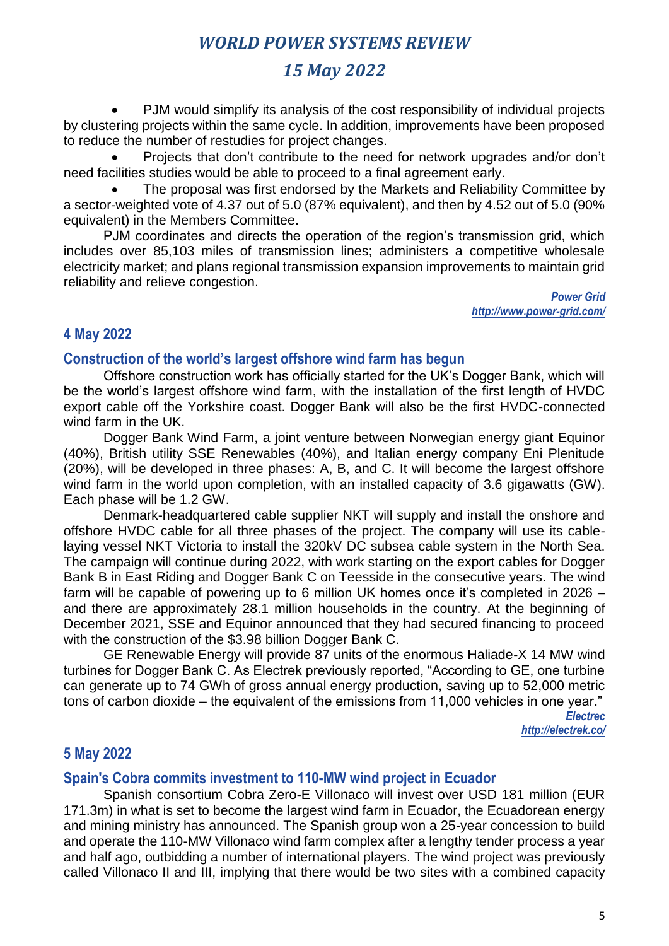# *15 May 2022*

• PJM would simplify its analysis of the cost responsibility of individual projects by clustering projects within the same cycle. In addition, improvements have been proposed to reduce the number of restudies for project changes.

• Projects that don't contribute to the need for network upgrades and/or don't need facilities studies would be able to proceed to a final agreement early.

• The proposal was first endorsed by the Markets and Reliability Committee by a sector-weighted vote of 4.37 out of 5.0 (87% equivalent), and then by 4.52 out of 5.0 (90% equivalent) in the Members Committee.

PJM coordinates and directs the operation of the region's transmission grid, which includes over 85,103 miles of transmission lines; administers a competitive wholesale electricity market; and plans regional transmission expansion improvements to maintain grid reliability and relieve congestion.

> *Power Grid http://www.power-grid.com/*

## **4 May 2022**

### **Construction of the world's largest offshore wind farm has begun**

Offshore construction work has officially started for the UK's Dogger Bank, which will be the world's largest offshore wind farm, with the installation of the first length of HVDC export cable off the Yorkshire coast. Dogger Bank will also be the first HVDC-connected wind farm in the UK.

Dogger Bank Wind Farm, a joint venture between Norwegian energy giant Equinor (40%), British utility SSE Renewables (40%), and Italian energy company Eni Plenitude (20%), will be developed in three phases: A, B, and C. It will become the largest offshore wind farm in the world upon completion, with an installed capacity of 3.6 gigawatts (GW). Each phase will be 1.2 GW.

Denmark-headquartered cable supplier NKT will supply and install the onshore and offshore HVDC cable for all three phases of the project. The company will use its cablelaying vessel NKT Victoria to install the 320kV DC subsea cable system in the North Sea. The campaign will continue during 2022, with work starting on the export cables for Dogger Bank B in East Riding and Dogger Bank C on Teesside in the consecutive years. The wind farm will be capable of powering up to 6 million UK homes once it's completed in 2026 – and there are approximately 28.1 million households in the country. At the beginning of December 2021, SSE and Equinor announced that they had secured financing to proceed with the construction of the \$3.98 billion Dogger Bank C.

GE Renewable Energy will provide 87 units of the enormous Haliade-X 14 MW wind turbines for Dogger Bank C. As Electrek previously reported, "According to GE, one turbine can generate up to 74 GWh of gross annual energy production, saving up to 52,000 metric tons of carbon dioxide – the equivalent of the emissions from 11,000 vehicles in one year."

> *Electrec http://electrek.co/*

### **5 May 2022**

### **Spain's Cobra commits investment to 110-MW wind project in Ecuador**

Spanish consortium Cobra Zero-E Villonaco will invest over USD 181 million (EUR 171.3m) in what is set to become the largest wind farm in Ecuador, the Ecuadorean energy and mining ministry has announced. The Spanish group won a 25-year concession to build and operate the 110-MW Villonaco wind farm complex after a lengthy tender process a year and half ago, outbidding a number of international players. The wind project was previously called Villonaco II and III, implying that there would be two sites with a combined capacity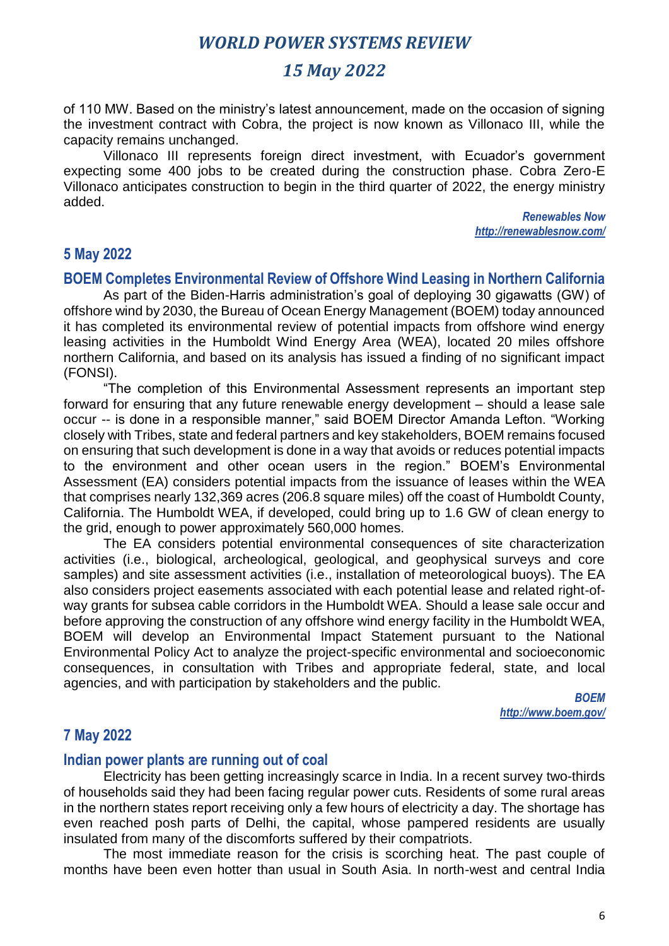# *15 May 2022*

of 110 MW. Based on the ministry's latest announcement, made on the occasion of signing the investment contract with Cobra, the project is now known as Villonaco III, while the capacity remains unchanged.

Villonaco III represents foreign direct investment, with Ecuador's government expecting some 400 jobs to be created during the construction phase. Cobra Zero-E Villonaco anticipates construction to begin in the third quarter of 2022, the energy ministry added.

> *Renewables Now http://renewablesnow.com/*

### **5 May 2022**

#### **BOEM Completes Environmental Review of Offshore Wind Leasing in Northern California**

As part of the Biden-Harris administration's goal of deploying 30 gigawatts (GW) of offshore wind by 2030, the Bureau of Ocean Energy Management (BOEM) today announced it has completed its environmental review of potential impacts from offshore wind energy leasing activities in the Humboldt Wind Energy Area (WEA), located 20 miles offshore northern California, and based on its analysis has issued a finding of no significant impact (FONSI).

"The completion of this Environmental Assessment represents an important step forward for ensuring that any future renewable energy development – should a lease sale occur -- is done in a responsible manner," said BOEM Director Amanda Lefton. "Working closely with Tribes, state and federal partners and key stakeholders, BOEM remains focused on ensuring that such development is done in a way that avoids or reduces potential impacts to the environment and other ocean users in the region." BOEM's Environmental Assessment (EA) considers potential impacts from the issuance of leases within the WEA that comprises nearly 132,369 acres (206.8 square miles) off the coast of Humboldt County, California. The Humboldt WEA, if developed, could bring up to 1.6 GW of clean energy to the grid, enough to power approximately 560,000 homes.

The EA considers potential environmental consequences of site characterization activities (i.e., biological, archeological, geological, and geophysical surveys and core samples) and site assessment activities (i.e., installation of meteorological buoys). The EA also considers project easements associated with each potential lease and related right-ofway grants for subsea cable corridors in the Humboldt WEA. Should a lease sale occur and before approving the construction of any offshore wind energy facility in the Humboldt WEA, BOEM will develop an Environmental Impact Statement pursuant to the National Environmental Policy Act to analyze the project-specific environmental and socioeconomic consequences, in consultation with Tribes and appropriate federal, state, and local agencies, and with participation by stakeholders and the public.

> *BOEM http://www.boem.gov/*

## **7 May 2022**

#### **Indian power plants are running out of coal**

Electricity has been getting increasingly scarce in India. In a recent survey two-thirds of households said they had been facing regular power cuts. Residents of some rural areas in the northern states report receiving only a few hours of electricity a day. The shortage has even reached posh parts of Delhi, the capital, whose pampered residents are usually insulated from many of the discomforts suffered by their compatriots.

The most immediate reason for the crisis is scorching heat. The past couple of months have been even hotter than usual in South Asia. In north-west and central India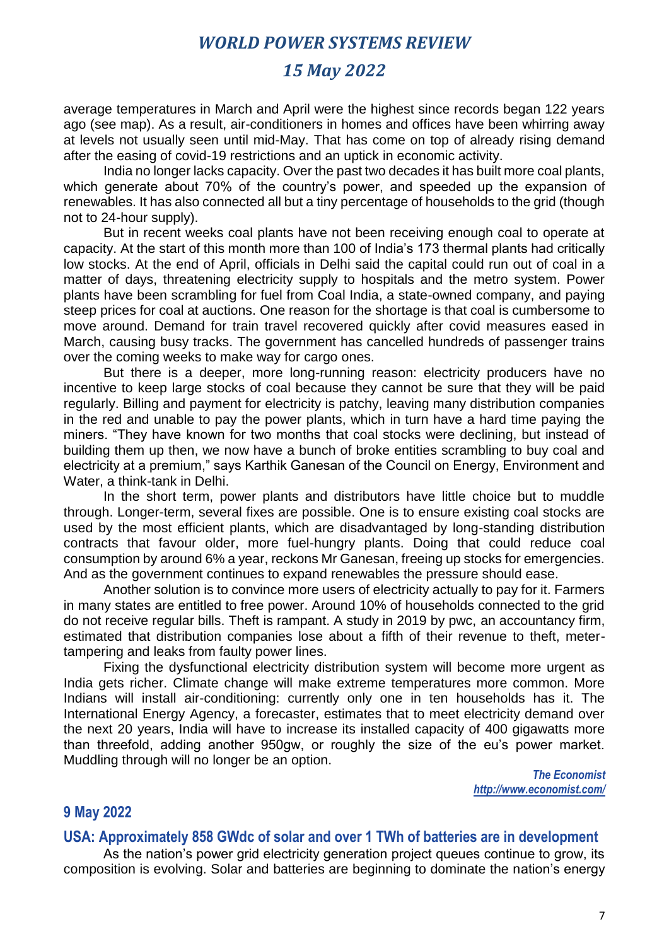## *15 May 2022*

average temperatures in March and April were the highest since records began 122 years ago (see map). As a result, air-conditioners in homes and offices have been whirring away at levels not usually seen until mid-May. That has come on top of already rising demand after the easing of covid-19 restrictions and an uptick in economic activity.

India no longer lacks capacity. Over the past two decades it has built more coal plants, which generate about 70% of the country's power, and speeded up the expansion of renewables. It has also connected all but a tiny percentage of households to the grid (though not to 24-hour supply).

But in recent weeks coal plants have not been receiving enough coal to operate at capacity. At the start of this month more than 100 of India's 173 thermal plants had critically low stocks. At the end of April, officials in Delhi said the capital could run out of coal in a matter of days, threatening electricity supply to hospitals and the metro system. Power plants have been scrambling for fuel from Coal India, a state-owned company, and paying steep prices for coal at auctions. One reason for the shortage is that coal is cumbersome to move around. Demand for train travel recovered quickly after covid measures eased in March, causing busy tracks. The government has cancelled hundreds of passenger trains over the coming weeks to make way for cargo ones.

But there is a deeper, more long-running reason: electricity producers have no incentive to keep large stocks of coal because they cannot be sure that they will be paid regularly. Billing and payment for electricity is patchy, leaving many distribution companies in the red and unable to pay the power plants, which in turn have a hard time paying the miners. "They have known for two months that coal stocks were declining, but instead of building them up then, we now have a bunch of broke entities scrambling to buy coal and electricity at a premium," says Karthik Ganesan of the Council on Energy, Environment and Water, a think-tank in Delhi.

In the short term, power plants and distributors have little choice but to muddle through. Longer-term, several fixes are possible. One is to ensure existing coal stocks are used by the most efficient plants, which are disadvantaged by long-standing distribution contracts that favour older, more fuel-hungry plants. Doing that could reduce coal consumption by around 6% a year, reckons Mr Ganesan, freeing up stocks for emergencies. And as the government continues to expand renewables the pressure should ease.

Another solution is to convince more users of electricity actually to pay for it. Farmers in many states are entitled to free power. Around 10% of households connected to the grid do not receive regular bills. Theft is rampant. A study in 2019 by pwc, an accountancy firm, estimated that distribution companies lose about a fifth of their revenue to theft, metertampering and leaks from faulty power lines.

Fixing the dysfunctional electricity distribution system will become more urgent as India gets richer. Climate change will make extreme temperatures more common. More Indians will install air-conditioning: currently only one in ten households has it. The International Energy Agency, a forecaster, estimates that to meet electricity demand over the next 20 years, India will have to increase its installed capacity of 400 gigawatts more than threefold, adding another 950gw, or roughly the size of the eu's power market. Muddling through will no longer be an option.

> *The Economist http://www.economist.com/*

### **9 May 2022**

#### **USA: Approximately 858 GWdc of solar and over 1 TWh of batteries are in development**

As the nation's power grid electricity generation project queues continue to grow, its composition is evolving. Solar and batteries are beginning to dominate the nation's energy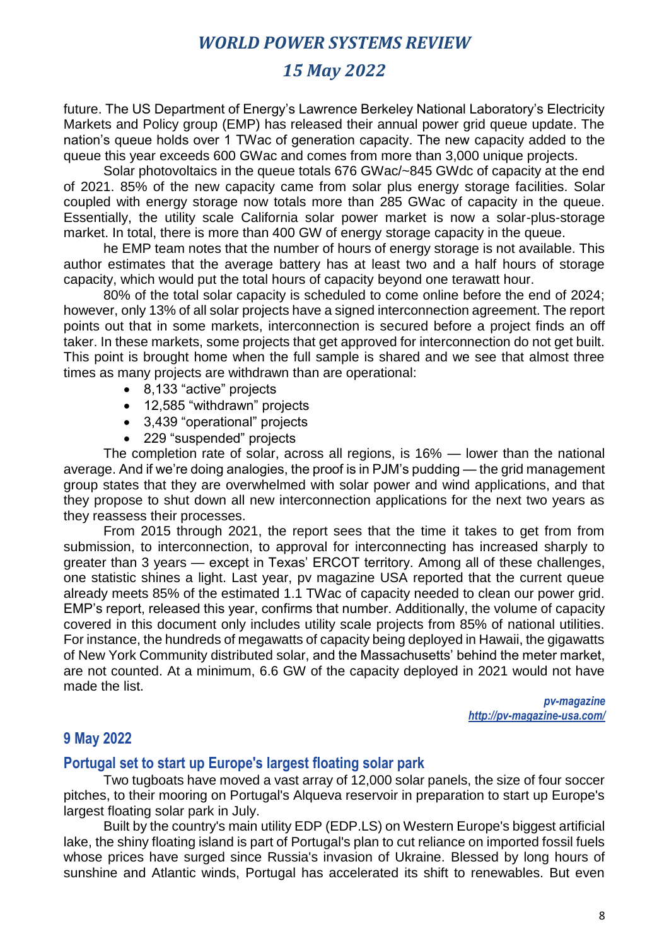# *15 May 2022*

future. The US Department of Energy's Lawrence Berkeley National Laboratory's Electricity Markets and Policy group (EMP) has released their annual power grid queue update. The nation's queue holds over 1 TWac of generation capacity. The new capacity added to the queue this year exceeds 600 GWac and comes from more than 3,000 unique projects.

Solar photovoltaics in the queue totals 676 GWac/~845 GWdc of capacity at the end of 2021. 85% of the new capacity came from solar plus energy storage facilities. Solar coupled with energy storage now totals more than 285 GWac of capacity in the queue. Essentially, the utility scale California solar power market is now a solar-plus-storage market. In total, there is more than 400 GW of energy storage capacity in the queue.

he EMP team notes that the number of hours of energy storage is not available. This author estimates that the average battery has at least two and a half hours of storage capacity, which would put the total hours of capacity beyond one terawatt hour.

80% of the total solar capacity is scheduled to come online before the end of 2024; however, only 13% of all solar projects have a signed interconnection agreement. The report points out that in some markets, interconnection is secured before a project finds an off taker. In these markets, some projects that get approved for interconnection do not get built. This point is brought home when the full sample is shared and we see that almost three times as many projects are withdrawn than are operational:

- 8,133 "active" projects
- 12,585 "withdrawn" projects
- 3,439 "operational" projects
- 229 "suspended" projects

The completion rate of solar, across all regions, is 16% — lower than the national average. And if we're doing analogies, the proof is in PJM's pudding — the grid management group states that they are overwhelmed with solar power and wind applications, and that they propose to shut down all new interconnection applications for the next two years as they reassess their processes.

From 2015 through 2021, the report sees that the time it takes to get from from submission, to interconnection, to approval for interconnecting has increased sharply to greater than 3 years — except in Texas' ERCOT territory. Among all of these challenges, one statistic shines a light. Last year, pv magazine USA reported that the current queue already meets 85% of the estimated 1.1 TWac of capacity needed to clean our power grid. EMP's report, released this year, confirms that number. Additionally, the volume of capacity covered in this document only includes utility scale projects from 85% of national utilities. For instance, the hundreds of megawatts of capacity being deployed in Hawaii, the gigawatts of New York Community distributed solar, and the Massachusetts' behind the meter market, are not counted. At a minimum, 6.6 GW of the capacity deployed in 2021 would not have made the list.

> *pv-magazine http://pv-magazine-usa.com/*

### **9 May 2022**

### **Portugal set to start up Europe's largest floating solar park**

Two tugboats have moved a vast array of 12,000 solar panels, the size of four soccer pitches, to their mooring on Portugal's Alqueva reservoir in preparation to start up Europe's largest floating solar park in July.

Built by the country's main utility EDP (EDP.LS) on Western Europe's biggest artificial lake, the shiny floating island is part of Portugal's plan to cut reliance on imported fossil fuels whose prices have surged since Russia's invasion of Ukraine. Blessed by long hours of sunshine and Atlantic winds, Portugal has accelerated its shift to renewables. But even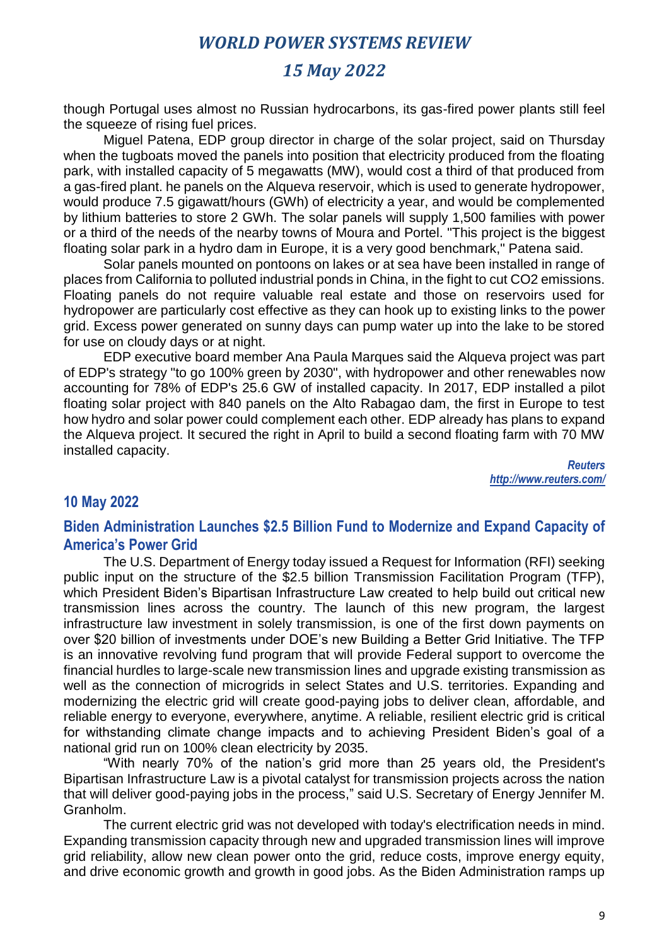# *15 May 2022*

though Portugal uses almost no Russian hydrocarbons, its gas-fired power plants still feel the squeeze of rising fuel prices.

Miguel Patena, EDP group director in charge of the solar project, said on Thursday when the tugboats moved the panels into position that electricity produced from the floating park, with installed capacity of 5 megawatts (MW), would cost a third of that produced from a gas-fired plant. he panels on the Alqueva reservoir, which is used to generate hydropower, would produce 7.5 gigawatt/hours (GWh) of electricity a year, and would be complemented by lithium batteries to store 2 GWh. The solar panels will supply 1,500 families with power or a third of the needs of the nearby towns of Moura and Portel. "This project is the biggest floating solar park in a hydro dam in Europe, it is a very good benchmark," Patena said.

Solar panels mounted on pontoons on lakes or at sea have been installed in range of places from California to polluted industrial ponds in China, in the fight to cut CO2 emissions. Floating panels do not require valuable real estate and those on reservoirs used for hydropower are particularly cost effective as they can hook up to existing links to the power grid. Excess power generated on sunny days can pump water up into the lake to be stored for use on cloudy days or at night.

EDP executive board member Ana Paula Marques said the Alqueva project was part of EDP's strategy "to go 100% green by 2030", with hydropower and other renewables now accounting for 78% of EDP's 25.6 GW of installed capacity. In 2017, EDP installed a pilot floating solar project with 840 panels on the Alto Rabagao dam, the first in Europe to test how hydro and solar power could complement each other. EDP already has plans to expand the Alqueva project. It secured the right in April to build a second floating farm with 70 MW installed capacity.

*Reuters http://www.reuters.com/*

### **10 May 2022**

### **Biden Administration Launches \$2.5 Billion Fund to Modernize and Expand Capacity of America's Power Grid**

The U.S. Department of Energy today issued a Request for Information (RFI) seeking public input on the structure of the \$2.5 billion Transmission Facilitation Program (TFP), which President Biden's Bipartisan Infrastructure Law created to help build out critical new transmission lines across the country. The launch of this new program, the largest infrastructure law investment in solely transmission, is one of the first down payments on over \$20 billion of investments under DOE's new Building a Better Grid Initiative. The TFP is an innovative revolving fund program that will provide Federal support to overcome the financial hurdles to large-scale new transmission lines and upgrade existing transmission as well as the connection of microgrids in select States and U.S. territories. Expanding and modernizing the electric grid will create good-paying jobs to deliver clean, affordable, and reliable energy to everyone, everywhere, anytime. A reliable, resilient electric grid is critical for withstanding climate change impacts and to achieving President Biden's goal of a national grid run on 100% clean electricity by 2035.

"With nearly 70% of the nation's grid more than 25 years old, the President's Bipartisan Infrastructure Law is a pivotal catalyst for transmission projects across the nation that will deliver good-paying jobs in the process," said U.S. Secretary of Energy Jennifer M. Granholm.

The current electric grid was not developed with today's electrification needs in mind. Expanding transmission capacity through new and upgraded transmission lines will improve grid reliability, allow new clean power onto the grid, reduce costs, improve energy equity, and drive economic growth and growth in good jobs. As the Biden Administration ramps up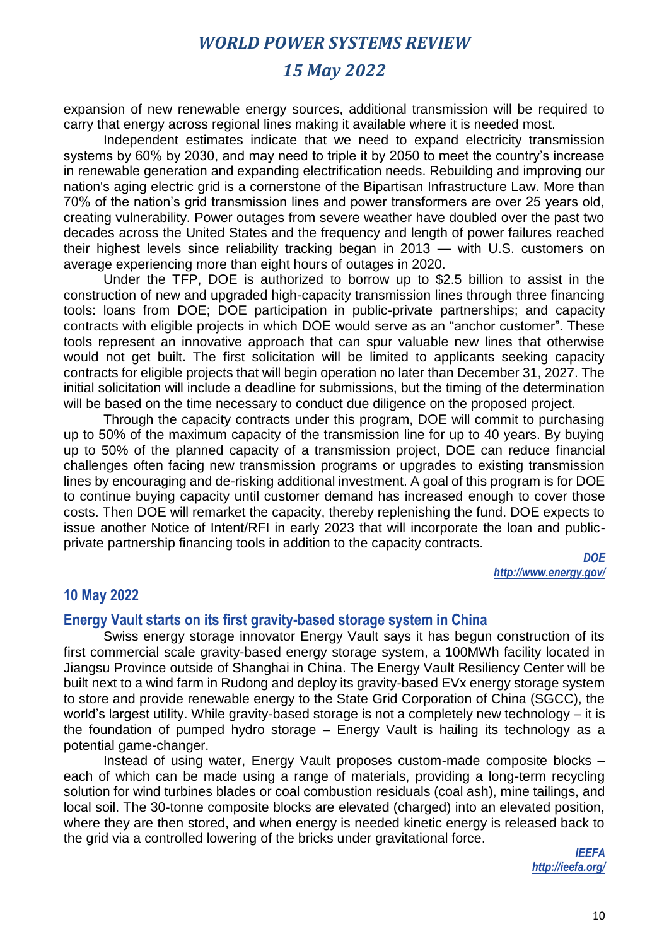# *15 May 2022*

expansion of new renewable energy sources, additional transmission will be required to carry that energy across regional lines making it available where it is needed most.

Independent estimates indicate that we need to expand electricity transmission systems by 60% by 2030, and may need to triple it by 2050 to meet the country's increase in renewable generation and expanding electrification needs. Rebuilding and improving our nation's aging electric grid is a cornerstone of the Bipartisan Infrastructure Law. More than 70% of the nation's grid transmission lines and power transformers are over 25 years old, creating vulnerability. Power outages from severe weather have doubled over the past two decades across the United States and the frequency and length of power failures reached their highest levels since reliability tracking began in 2013 — with U.S. customers on average experiencing more than eight hours of outages in 2020.

Under the TFP, DOE is authorized to borrow up to \$2.5 billion to assist in the construction of new and upgraded high-capacity transmission lines through three financing tools: loans from DOE; DOE participation in public-private partnerships; and capacity contracts with eligible projects in which DOE would serve as an "anchor customer". These tools represent an innovative approach that can spur valuable new lines that otherwise would not get built. The first solicitation will be limited to applicants seeking capacity contracts for eligible projects that will begin operation no later than December 31, 2027. The initial solicitation will include a deadline for submissions, but the timing of the determination will be based on the time necessary to conduct due diligence on the proposed project.

Through the capacity contracts under this program, DOE will commit to purchasing up to 50% of the maximum capacity of the transmission line for up to 40 years. By buying up to 50% of the planned capacity of a transmission project, DOE can reduce financial challenges often facing new transmission programs or upgrades to existing transmission lines by encouraging and de-risking additional investment. A goal of this program is for DOE to continue buying capacity until customer demand has increased enough to cover those costs. Then DOE will remarket the capacity, thereby replenishing the fund. DOE expects to issue another Notice of Intent/RFI in early 2023 that will incorporate the loan and publicprivate partnership financing tools in addition to the capacity contracts.

> *DOE http://www.energy.gov/*

### **10 May 2022**

### **Energy Vault starts on its first gravity-based storage system in China**

Swiss energy storage innovator Energy Vault says it has begun construction of its first commercial scale gravity-based energy storage system, a 100MWh facility located in Jiangsu Province outside of Shanghai in China. The Energy Vault Resiliency Center will be built next to a wind farm in Rudong and deploy its gravity-based EVx energy storage system to store and provide renewable energy to the State Grid Corporation of China (SGCC), the world's largest utility. While gravity-based storage is not a completely new technology – it is the foundation of pumped hydro storage – Energy Vault is hailing its technology as a potential game-changer.

Instead of using water, Energy Vault proposes custom-made composite blocks – each of which can be made using a range of materials, providing a long-term recycling solution for wind turbines blades or coal combustion residuals (coal ash), mine tailings, and local soil. The 30-tonne composite blocks are elevated (charged) into an elevated position, where they are then stored, and when energy is needed kinetic energy is released back to the grid via a controlled lowering of the bricks under gravitational force.

> *IEEFA http://ieefa.org/*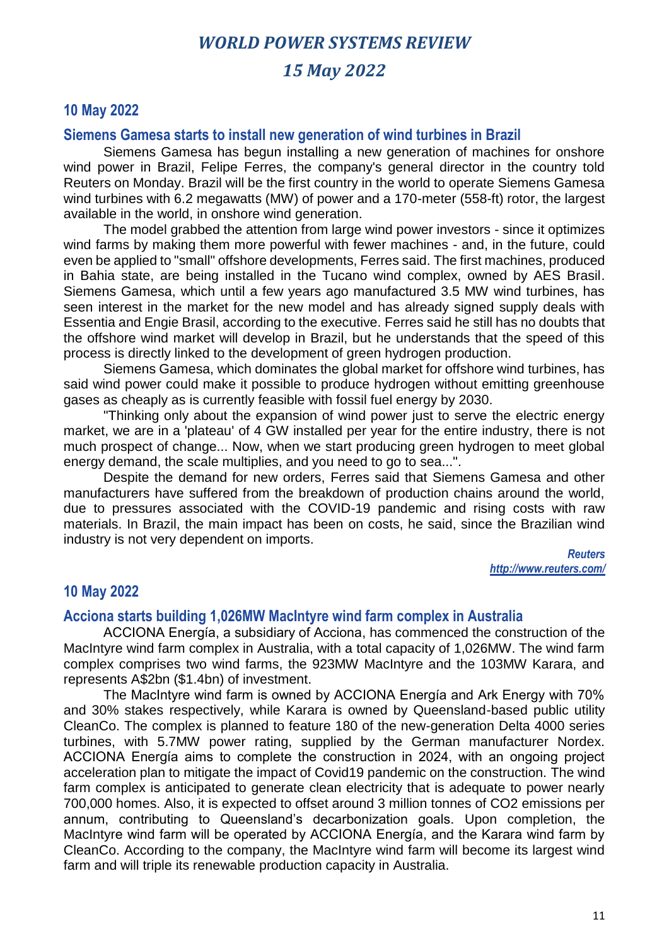## *15 May 2022*

### **10 May 2022**

#### **Siemens Gamesa starts to install new generation of wind turbines in Brazil**

Siemens Gamesa has begun installing a new generation of machines for onshore wind power in Brazil, Felipe Ferres, the company's general director in the country told Reuters on Monday. Brazil will be the first country in the world to operate Siemens Gamesa wind turbines with 6.2 megawatts (MW) of power and a 170-meter (558-ft) rotor, the largest available in the world, in onshore wind generation.

The model grabbed the attention from large wind power investors - since it optimizes wind farms by making them more powerful with fewer machines - and, in the future, could even be applied to "small" offshore developments, Ferres said. The first machines, produced in Bahia state, are being installed in the Tucano wind complex, owned by AES Brasil. Siemens Gamesa, which until a few years ago manufactured 3.5 MW wind turbines, has seen interest in the market for the new model and has already signed supply deals with Essentia and Engie Brasil, according to the executive. Ferres said he still has no doubts that the offshore wind market will develop in Brazil, but he understands that the speed of this process is directly linked to the development of green hydrogen production.

Siemens Gamesa, which dominates the global market for offshore wind turbines, has said wind power could make it possible to produce hydrogen without emitting greenhouse gases as cheaply as is currently feasible with fossil fuel energy by 2030.

"Thinking only about the expansion of wind power just to serve the electric energy market, we are in a 'plateau' of 4 GW installed per year for the entire industry, there is not much prospect of change... Now, when we start producing green hydrogen to meet global energy demand, the scale multiplies, and you need to go to sea...".

Despite the demand for new orders, Ferres said that Siemens Gamesa and other manufacturers have suffered from the breakdown of production chains around the world, due to pressures associated with the COVID-19 pandemic and rising costs with raw materials. In Brazil, the main impact has been on costs, he said, since the Brazilian wind industry is not very dependent on imports.

> *Reuters http://www.reuters.com/*

### **10 May 2022**

#### **Acciona starts building 1,026MW MacIntyre wind farm complex in Australia**

ACCIONA Energía, a subsidiary of Acciona, has commenced the construction of the MacIntyre wind farm complex in Australia, with a total capacity of 1,026MW. The wind farm complex comprises two wind farms, the 923MW MacIntyre and the 103MW Karara, and represents A\$2bn (\$1.4bn) of investment.

The MacIntyre wind farm is owned by ACCIONA Energía and Ark Energy with 70% and 30% stakes respectively, while Karara is owned by Queensland-based public utility CleanCo. The complex is planned to feature 180 of the new-generation Delta 4000 series turbines, with 5.7MW power rating, supplied by the German manufacturer Nordex. ACCIONA Energía aims to complete the construction in 2024, with an ongoing project acceleration plan to mitigate the impact of Covid19 pandemic on the construction. The wind farm complex is anticipated to generate clean electricity that is adequate to power nearly 700,000 homes. Also, it is expected to offset around 3 million tonnes of CO2 emissions per annum, contributing to Queensland's decarbonization goals. Upon completion, the MacIntyre wind farm will be operated by ACCIONA Energía, and the Karara wind farm by CleanCo. According to the company, the MacIntyre wind farm will become its largest wind farm and will triple its renewable production capacity in Australia.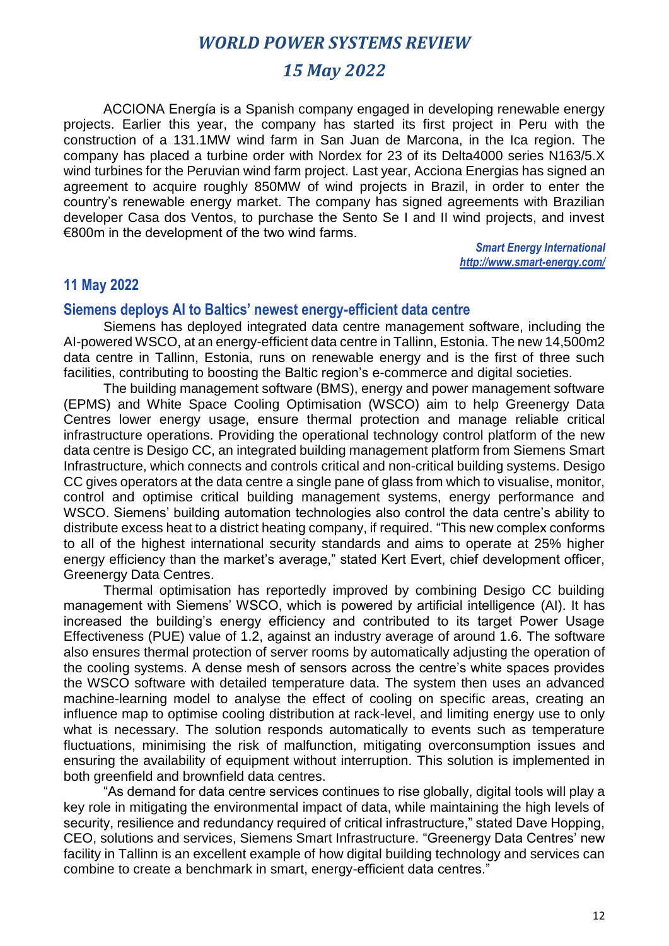# *15 May 2022*

ACCIONA Energía is a Spanish company engaged in developing renewable energy projects. Earlier this year, the company has started its first project in Peru with the construction of a 131.1MW wind farm in San Juan de Marcona, in the Ica region. The company has placed a turbine order with Nordex for 23 of its Delta4000 series N163/5.X wind turbines for the Peruvian wind farm project. Last year, Acciona Energias has signed an agreement to acquire roughly 850MW of wind projects in Brazil, in order to enter the country's renewable energy market. The company has signed agreements with Brazilian developer Casa dos Ventos, to purchase the Sento Se I and II wind projects, and invest €800m in the development of the two wind farms.

> *Smart Energy International http://www.smart-energy.com/*

### **11 May 2022**

### **Siemens deploys AI to Baltics' newest energy-efficient data centre**

Siemens has deployed integrated data centre management software, including the AI-powered WSCO, at an energy-efficient data centre in Tallinn, Estonia. The new 14,500m2 data centre in Tallinn, Estonia, runs on renewable energy and is the first of three such facilities, contributing to boosting the Baltic region's e-commerce and digital societies.

The building management software (BMS), energy and power management software (EPMS) and White Space Cooling Optimisation (WSCO) aim to help Greenergy Data Centres lower energy usage, ensure thermal protection and manage reliable critical infrastructure operations. Providing the operational technology control platform of the new data centre is Desigo CC, an integrated building management platform from Siemens Smart Infrastructure, which connects and controls critical and non-critical building systems. Desigo CC gives operators at the data centre a single pane of glass from which to visualise, monitor, control and optimise critical building management systems, energy performance and WSCO. Siemens' building automation technologies also control the data centre's ability to distribute excess heat to a district heating company, if required. "This new complex conforms to all of the highest international security standards and aims to operate at 25% higher energy efficiency than the market's average," stated Kert Evert, chief development officer, Greenergy Data Centres.

Thermal optimisation has reportedly improved by combining Desigo CC building management with Siemens' WSCO, which is powered by artificial intelligence (AI). It has increased the building's energy efficiency and contributed to its target Power Usage Effectiveness (PUE) value of 1.2, against an industry average of around 1.6. The software also ensures thermal protection of server rooms by automatically adjusting the operation of the cooling systems. A dense mesh of sensors across the centre's white spaces provides the WSCO software with detailed temperature data. The system then uses an advanced machine-learning model to analyse the effect of cooling on specific areas, creating an influence map to optimise cooling distribution at rack-level, and limiting energy use to only what is necessary. The solution responds automatically to events such as temperature fluctuations, minimising the risk of malfunction, mitigating overconsumption issues and ensuring the availability of equipment without interruption. This solution is implemented in both greenfield and brownfield data centres.

"As demand for data centre services continues to rise globally, digital tools will play a key role in mitigating the environmental impact of data, while maintaining the high levels of security, resilience and redundancy required of critical infrastructure," stated Dave Hopping, CEO, solutions and services, Siemens Smart Infrastructure. "Greenergy Data Centres' new facility in Tallinn is an excellent example of how digital building technology and services can combine to create a benchmark in smart, energy-efficient data centres."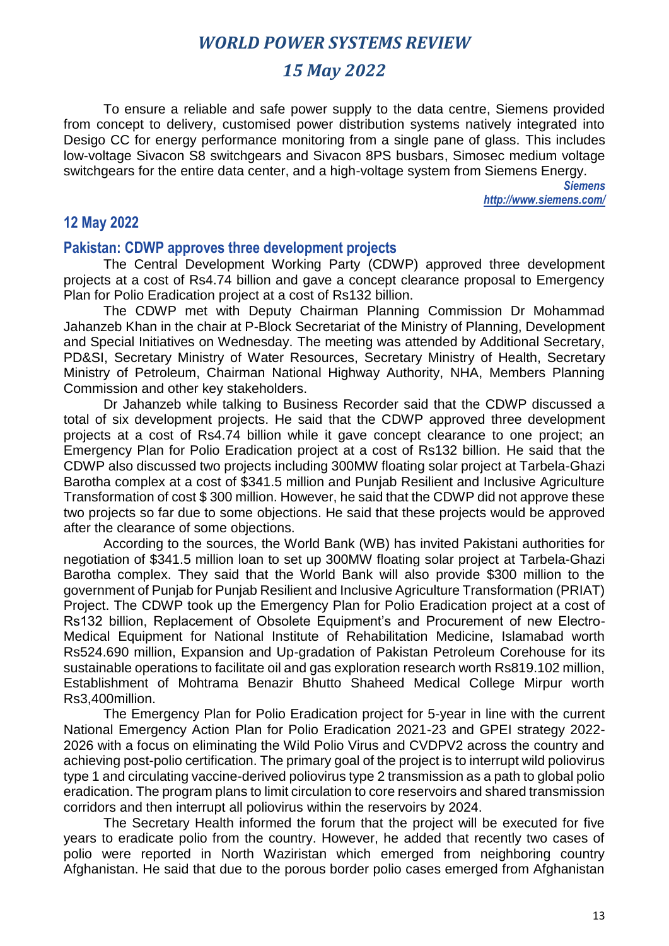# *15 May 2022*

To ensure a reliable and safe power supply to the data centre, Siemens provided from concept to delivery, customised power distribution systems natively integrated into Desigo CC for energy performance monitoring from a single pane of glass. This includes low-voltage Sivacon S8 switchgears and Sivacon 8PS busbars, Simosec medium voltage switchgears for the entire data center, and a high-voltage system from Siemens Energy.

> *Siemens http://www.siemens.com/*

### **12 May 2022**

#### **Pakistan: CDWP approves three development projects**

The Central Development Working Party (CDWP) approved three development projects at a cost of Rs4.74 billion and gave a concept clearance proposal to Emergency Plan for Polio Eradication project at a cost of Rs132 billion.

The CDWP met with Deputy Chairman Planning Commission Dr Mohammad Jahanzeb Khan in the chair at P-Block Secretariat of the Ministry of Planning, Development and Special Initiatives on Wednesday. The meeting was attended by Additional Secretary, PD&SI, Secretary Ministry of Water Resources, Secretary Ministry of Health, Secretary Ministry of Petroleum, Chairman National Highway Authority, NHA, Members Planning Commission and other key stakeholders.

Dr Jahanzeb while talking to Business Recorder said that the CDWP discussed a total of six development projects. He said that the CDWP approved three development projects at a cost of Rs4.74 billion while it gave concept clearance to one project; an Emergency Plan for Polio Eradication project at a cost of Rs132 billion. He said that the CDWP also discussed two projects including 300MW floating solar project at Tarbela-Ghazi Barotha complex at a cost of \$341.5 million and Punjab Resilient and Inclusive Agriculture Transformation of cost \$ 300 million. However, he said that the CDWP did not approve these two projects so far due to some objections. He said that these projects would be approved after the clearance of some objections.

According to the sources, the World Bank (WB) has invited Pakistani authorities for negotiation of \$341.5 million loan to set up 300MW floating solar project at Tarbela-Ghazi Barotha complex. They said that the World Bank will also provide \$300 million to the government of Punjab for Punjab Resilient and Inclusive Agriculture Transformation (PRIAT) Project. The CDWP took up the Emergency Plan for Polio Eradication project at a cost of Rs132 billion, Replacement of Obsolete Equipment's and Procurement of new Electro-Medical Equipment for National Institute of Rehabilitation Medicine, Islamabad worth Rs524.690 million, Expansion and Up-gradation of Pakistan Petroleum Corehouse for its sustainable operations to facilitate oil and gas exploration research worth Rs819.102 million, Establishment of Mohtrama Benazir Bhutto Shaheed Medical College Mirpur worth Rs3,400million.

The Emergency Plan for Polio Eradication project for 5-year in line with the current National Emergency Action Plan for Polio Eradication 2021-23 and GPEI strategy 2022- 2026 with a focus on eliminating the Wild Polio Virus and CVDPV2 across the country and achieving post-polio certification. The primary goal of the project is to interrupt wild poliovirus type 1 and circulating vaccine-derived poliovirus type 2 transmission as a path to global polio eradication. The program plans to limit circulation to core reservoirs and shared transmission corridors and then interrupt all poliovirus within the reservoirs by 2024.

The Secretary Health informed the forum that the project will be executed for five years to eradicate polio from the country. However, he added that recently two cases of polio were reported in North Waziristan which emerged from neighboring country Afghanistan. He said that due to the porous border polio cases emerged from Afghanistan